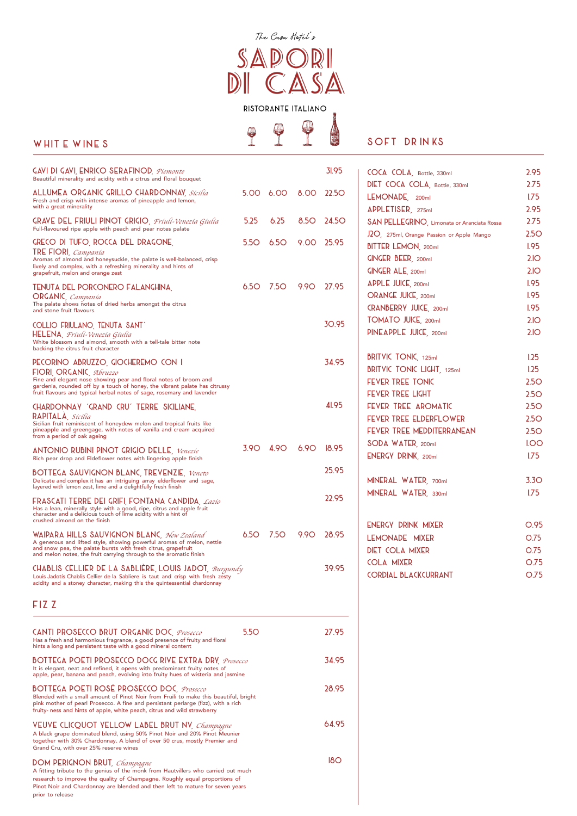| <b>GAVI DI GAVI, ENRICO SERAFINOD</b> , <i>Piemonte</i><br>Beautiful minerality and acidity with a citrus and floral bouquet                                                                |             |             |             | 31.95        | COCA COLA, Bottle, 330ml                    | 2.95             |
|---------------------------------------------------------------------------------------------------------------------------------------------------------------------------------------------|-------------|-------------|-------------|--------------|---------------------------------------------|------------------|
|                                                                                                                                                                                             |             |             |             |              | DIET COCA COLA, Bottle, 330ml               | 2.75             |
| ALLUMEA ORGANIC GRILLO CHARDONNAY, Sicilia<br>Fresh and crisp with intense aromas of pineapple and lemon,                                                                                   | 5.00        | 6.00        | 8.00        | <b>22.50</b> | LEMONADE, 200ml                             | 1.75             |
| with a great minerality                                                                                                                                                                     |             |             |             |              | APPLETISER, 275ml                           | 2.95             |
| <b>GRAVE DEL FRIULI PINOT GRIGIO</b> , <i>Friuli-Venezia Giulia</i><br>Full-flavoured ripe apple with peach and pear notes palate                                                           | 5.25        | 6.25        | <b>8.50</b> | 24.5O        | SAN PELLEGRINO, Limonata or Aranciata Rossa | 2.75             |
| GRECO DI TUFO, ROCCA DEL DRAGONE,                                                                                                                                                           | <b>5.50</b> | 6.5O        | 9.00        | 25.95        | J2O, 275ml, Orange Passion or Apple Mango   | 2.5 <sub>O</sub> |
| <b>TRE FIORI</b> , <i>Campanía</i>                                                                                                                                                          |             |             |             |              | <b>BITTER LEMON, 200ml</b>                  | <b>1.95</b>      |
| Aromas of almond and honeysuckle, the palate is well-balanced, crisp<br>lively and complex, with a refreshing minerality and hints of                                                       |             |             |             |              | <b>GINGER BEER, 200ml</b>                   | 2IO              |
| grapefruit, melon and orange zest                                                                                                                                                           |             |             |             |              | <b>GINGER ALE, 200ml</b>                    | 2IO              |
| TENUTA DEL PORCONERO FALANGHINA,                                                                                                                                                            | 6.5O        | <b>7.50</b> | 9.90        | 27.95        | APPLE JUICE, 200ml                          | <b>1.95</b>      |
| <b>ORGANIC</b> , <i>Campanía</i><br>The palate shows notes of dried herbs amongst the citrus                                                                                                |             |             |             |              | <b>ORANGE JUICE, 200ml</b>                  | <b>1.95</b>      |
| and stone fruit flavours                                                                                                                                                                    |             |             |             |              | <b>CRANBERRY JUICE, 200ml</b>               | <b>1.95</b>      |
| COLLIO FRIULANO, TENUTA SANT'                                                                                                                                                               |             |             |             | 30.95        | <b>TOMATO JUICE, 200ml</b>                  | 2IO              |
| HELENA, <i>Fríulí-Venezía Gíulia</i><br>White blossom and almond, smooth with a tell-tale bitter note<br>backing the citrus fruit character                                                 |             |             |             |              | PINEAPPLE JUICE, 200ml                      | 2.10             |
| PECORINO ABRUZZO, GIOCHEREMO CON I                                                                                                                                                          |             |             |             | 34.95        | <b>BRITVIC TONIC, 125ml</b>                 | 1.25             |
| FIORI, ORGANIC, Abruzzo                                                                                                                                                                     |             |             |             |              | <b>BRITVIC TONIC LIGHT, 125ml</b>           | 1.25             |
| Fine and elegant nose showing pear and floral notes of broom and<br>gardenia, rounded off by a touch of honey, the vibrant palate has citrussy                                              |             |             |             |              | <b>FEVER TREE TONIC</b>                     | 2.5 <sub>O</sub> |
| fruit flavours and typical herbal notes of sage, rosemary and lavender                                                                                                                      |             |             |             |              | <b>FEVER TREE LIGHT</b>                     | 2.5 <sub>O</sub> |
| CHARDONNAY 'GRAND CRU' TERRE SICILIANE,                                                                                                                                                     |             |             |             | 41.95        | FEVER TREE AROMATIC                         | 2.5 <sub>O</sub> |
| RAPITALA, Sícilia<br>Sicilian fruit reminiscent of honeydew melon and tropical fruits like                                                                                                  |             |             |             |              | <b>FEVER TREE ELDERFLOWER</b>               | 2.5 <sub>O</sub> |
| pineapple and greengage, with notes of vanilla and cream acquired                                                                                                                           |             |             |             |              | FEVER TREE MEDDITERRANEAN                   | 2.5 <sub>O</sub> |
| from a period of oak ageing                                                                                                                                                                 | 3.9O        |             |             |              | SODA WATER, 200ml                           | I.OO             |
| <b>ANTONIO RUBINI PINOT GRIGIO DELLE</b> , Venezie<br>Rich pear drop and Eldeflower notes with lingering apple finish                                                                       |             | 4.9O        | 6.90        | 18.95        | <b>ENERGY DRINK, 200ml</b>                  | 1.75             |
|                                                                                                                                                                                             |             |             |             | 25.95        |                                             |                  |
| <b>BOTTEGA SAUVIGNON BLANC, TREVENZIE, Veneto</b><br>Delicate and complex it has an intriguing array elderflower and sage,                                                                  |             |             |             |              | MINERAL WATER, 700ml                        | 3.3 <sub>O</sub> |
| layered with lemon zest, lime and a delightfully fresh finish                                                                                                                               |             |             |             |              | MINERAL WATER, 330ml                        | 1.75             |
| FRASCATI TERRE DEI GRIFI, FONTANA CANDIDA, Lazío<br>Has a lean, minerally style with a good, ripe, citrus and apple fruit<br>character and a delicious touch of lime acidity with a hint of |             |             |             | 22.95        |                                             |                  |
| crushed almond on the finish                                                                                                                                                                |             |             |             |              | ENERGY DRINK MIXER                          | O.95             |
| WAIPARA HILLS SAUVIGNON BLANC, New Zealand                                                                                                                                                  | 6.5O        | <b>7.50</b> | 9.90        | 28.95        | LEMONADE MIXER                              | O.75             |
| A generous and lifted style, showing powerful aromas of melon, nettle<br>and snow pea, the palate bursts with fresh citrus, grapefruit                                                      |             |             |             |              | <b>DIET COLA MIXER</b>                      | O.75             |
| and melon notes, the fruit carrying through to the aromatic finish                                                                                                                          |             |             |             |              | <b>COLA MIXER</b>                           | O.75             |
| CHABLIS CELLIER DE LA SABLIERE, LOUIS JADOT, <i>Burgundy</i><br>Louis Jadotís Chablis Cellier de la Sabliere is taut and crisp with fresh zesty                                             |             |             |             | 39.95        | <b>CORDIAL BLACKCURRANT</b>                 | O.75             |
| acidity and a stoney character, making this the quintessential chardonnay                                                                                                                   |             |             |             |              |                                             |                  |
|                                                                                                                                                                                             |             |             |             |              |                                             |                  |

# WHITE WINES  $\mathbb{P} \subseteq \mathbb{S}$  soft drinks

| 31.95 | COCA COLA, Bottle, 330ml                    | 2.95             |
|-------|---------------------------------------------|------------------|
|       | DIET COCA COLA, Bottle, 330ml               | 2.75             |
| 22.5O | LEMONADE, 200ml                             | 1.75             |
|       | APPLETISER, 275ml                           | 2.95             |
| 24.5O | SAN PELLEGRINO, Limonata or Aranciata Rossa | 2.75             |
|       | J2O, 275ml, Orange Passion or Apple Mango   | 2.5O             |
| 25.95 | <b>BITTER LEMON, 200ml</b>                  | 1.95             |
|       | <b>GINGER BEER, 200ml</b>                   | 2IO              |
|       | <b>GINGER ALE, 200ml</b>                    | 2IO              |
| 27.95 | APPLE JUICE, 200ml                          | <b>1.95</b>      |
|       | <b>ORANGE JUICE, 200ml</b>                  | <b>1.95</b>      |
|       | <b>CRANBERRY JUICE, 200ml</b>               | 1.95             |
| 30.95 | <b>TOMATO JUICE, 200ml</b>                  | 2IO              |
|       | PINEAPPLE JUICE, 200ml                      | 2.10             |
| 34.95 | <b>BRITVIC TONIC, 125ml</b>                 | 1.25             |
|       | <b>BRITVIC TONIC LIGHT, 125ml</b>           | 1.25             |
|       | <b>FEVER TREE TONIC</b>                     | 2.5O             |
|       | <b>FEVER TREE LIGHT</b>                     | 2.5O             |
| 41.95 | FEVER TREE AROMATIC                         | 2.5O             |
|       | <b>FEVER TREE ELDERFLOWER</b>               | 2.5O             |
|       | FEVER TREE MEDDITERRANEAN                   | 2.5 <sub>O</sub> |
| 18.95 | SODA WATER, 200ml                           | <b>I.OO</b>      |
|       | <b>ENERGY DRINK</b> , 200ml                 | 1.75             |
| 25.95 |                                             |                  |
|       | MINERAL WATER, 700ml                        | 3.30             |
| 22.95 | MINERAL WATER, 330ml                        | 1.75             |
|       |                                             |                  |
| 28.95 | ENERGY DRINK MIXER                          | O.95             |
|       | LEMONADE MIXER                              | O.75             |
|       | <b>DIET COLA MIXER</b>                      | O.75             |
| 39.95 | <b>COLA MIXER</b>                           | O.75             |
|       | <b>CORDIAL BLACKCURRANT</b>                 | O.75             |
|       |                                             |                  |



5.5O 27.95

| <b>CANTI PROSECCO BRUT ORGANIC DOC</b> , Prosecco<br>5.5O<br>Has a fresh and harmonious fragrance, a good presence of fruity and floral<br>hints a long and persistent taste with a good mineral content                                                                                                          |
|-------------------------------------------------------------------------------------------------------------------------------------------------------------------------------------------------------------------------------------------------------------------------------------------------------------------|
| <b>BOTTEGA POETI PROSECCO DOCG RIVE EXTRA DRY</b> , Prosecco<br>It is elegant, neat and refined, it opens with predominant fruity notes of<br>apple, pear, banana and peach, evolving into fruity hues of wisteria and jasmine                                                                                    |
| <b>BOTTEGA POETI ROSÉ PROSECCO DOC</b> , <i>Prosecco</i><br>Blended with a small amount of Pinot Noir from Fruili to make this beautiful, bright<br>pink mother of pearl Prosecco. A fine and persistant perlarge (fizz), with a rich<br>fruity- ness and hints of apple, white peach, citrus and wild strawberry |
| VEUVE CLICQUOT YELLOW LABEL BRUT NV, Champagne<br>A black grape dominated blend, using 50% Pinot Noir and 20% Pinot Meunier<br>together with 30% Chardonnay. A blend of over 50 crus, mostly Premier and<br>Grand Cru, with over 25% reserve wines                                                                |
| DOM PERIGNON BRUT, Champagne<br>A fitting tribute to the genius of the monk from Hautvillers who carried out much<br>research to improve the quality of Champagne. Roughly equal proportions of<br>Pinot Noir and Chardonnay are blended and then left to mature for seven years<br>prior to release              |

34.95

28.95

64.95

18O